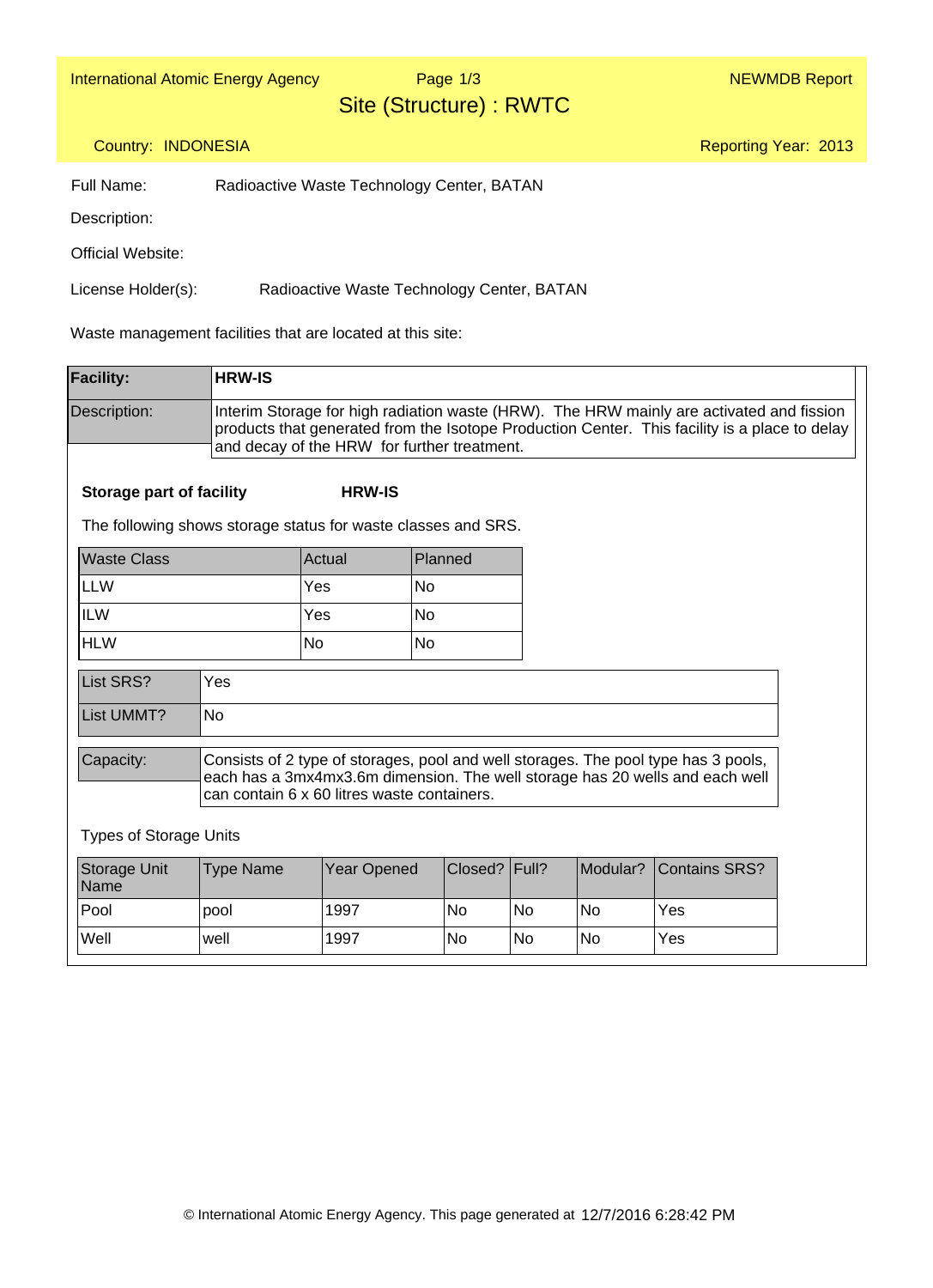Page 1/3

### Site (Structure) : RWTC

Reporting Year: 2013

#### Country: INDONESIA

Full Name: Radioactive Waste Technology Center, BATAN

Description:

Official Website:

License Holder(s): Radioactive Waste Technology Center, BATAN

Waste management facilities that are located at this site:

| <b>Facility:</b>                | <b>HRW-IS</b>    |                                                                                                                                                                                                                   |                 |           |           |                                                                                                                                                                                           |  |  |  |  |
|---------------------------------|------------------|-------------------------------------------------------------------------------------------------------------------------------------------------------------------------------------------------------------------|-----------------|-----------|-----------|-------------------------------------------------------------------------------------------------------------------------------------------------------------------------------------------|--|--|--|--|
| Description:                    |                  | and decay of the HRW for further treatment.                                                                                                                                                                       |                 |           |           | Interim Storage for high radiation waste (HRW). The HRW mainly are activated and fission<br>products that generated from the Isotope Production Center. This facility is a place to delay |  |  |  |  |
| <b>Storage part of facility</b> |                  | <b>HRW-IS</b>                                                                                                                                                                                                     |                 |           |           |                                                                                                                                                                                           |  |  |  |  |
|                                 |                  | The following shows storage status for waste classes and SRS.                                                                                                                                                     |                 |           |           |                                                                                                                                                                                           |  |  |  |  |
| <b>Waste Class</b>              |                  | Actual                                                                                                                                                                                                            | Planned         |           |           |                                                                                                                                                                                           |  |  |  |  |
| <b>LLW</b>                      |                  | Yes                                                                                                                                                                                                               | <b>No</b>       |           |           |                                                                                                                                                                                           |  |  |  |  |
| <b>ILW</b>                      |                  | Yes                                                                                                                                                                                                               | <b>No</b>       |           |           |                                                                                                                                                                                           |  |  |  |  |
| <b>HLW</b>                      |                  | No                                                                                                                                                                                                                | <b>No</b>       |           |           |                                                                                                                                                                                           |  |  |  |  |
| List SRS?                       | Yes              |                                                                                                                                                                                                                   |                 |           |           |                                                                                                                                                                                           |  |  |  |  |
| List UMMT?                      | <b>No</b>        |                                                                                                                                                                                                                   |                 |           |           |                                                                                                                                                                                           |  |  |  |  |
| Capacity:                       |                  | Consists of 2 type of storages, pool and well storages. The pool type has 3 pools,<br>each has a 3mx4mx3.6m dimension. The well storage has 20 wells and each well<br>can contain 6 x 60 litres waste containers. |                 |           |           |                                                                                                                                                                                           |  |  |  |  |
| <b>Types of Storage Units</b>   |                  |                                                                                                                                                                                                                   |                 |           |           |                                                                                                                                                                                           |  |  |  |  |
| Storage Unit<br>Name            | <b>Type Name</b> | <b>Year Opened</b>                                                                                                                                                                                                | Closed?   Full? |           | Modular?  | <b>Contains SRS?</b>                                                                                                                                                                      |  |  |  |  |
| Pool                            | pool             | 1997                                                                                                                                                                                                              | <b>No</b>       | <b>No</b> | <b>No</b> | Yes                                                                                                                                                                                       |  |  |  |  |
| Well                            | well             | 1997                                                                                                                                                                                                              | <b>No</b>       | <b>No</b> | <b>No</b> | Yes                                                                                                                                                                                       |  |  |  |  |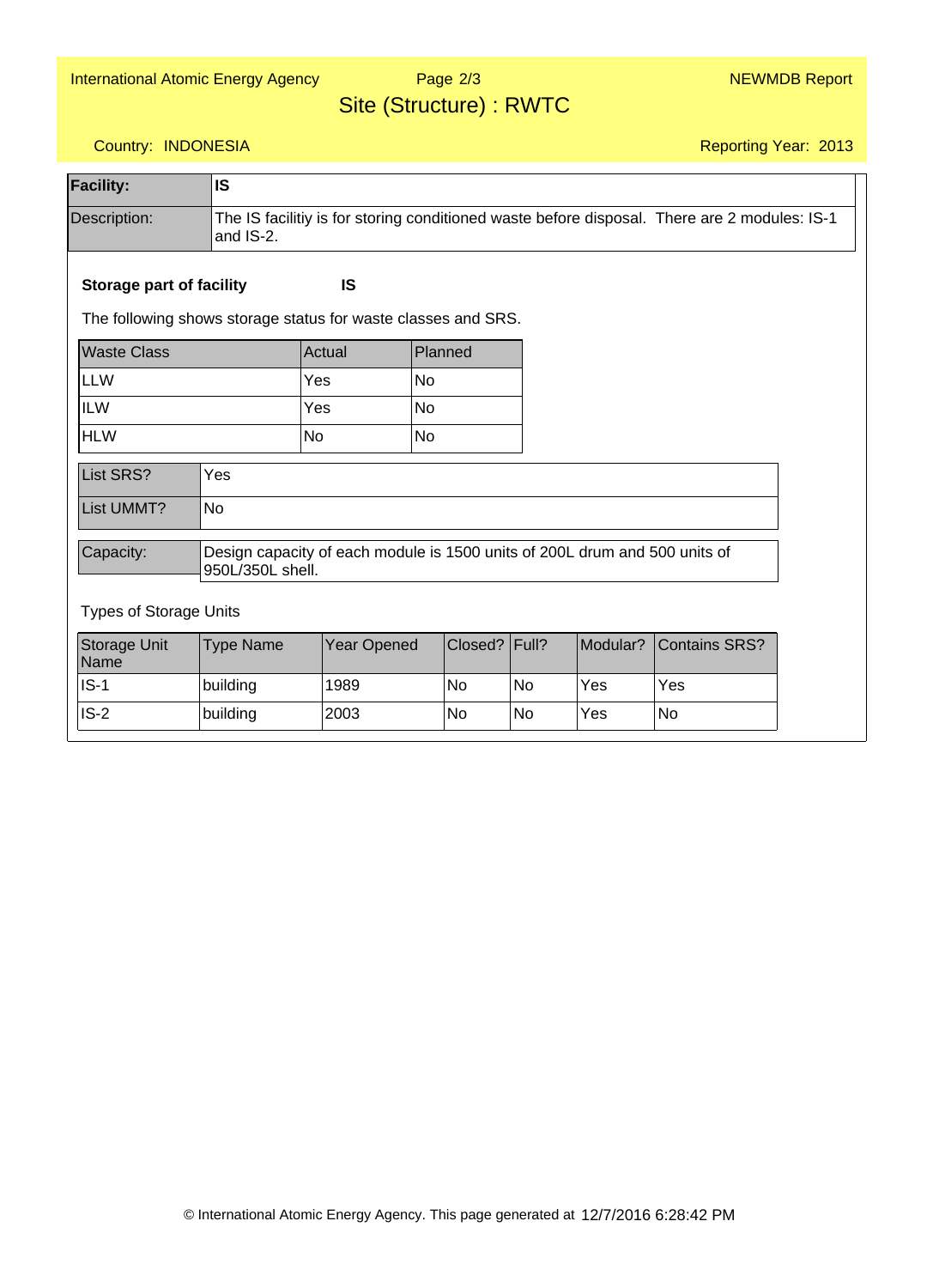## Page 2/3

### Site (Structure) : RWTC

Reporting Year: 2013

#### Country: INDONESIA

| <b>Facility:</b>                | <b>IS</b>        |                                                                                              |           |           |          |                      |  |  |
|---------------------------------|------------------|----------------------------------------------------------------------------------------------|-----------|-----------|----------|----------------------|--|--|
| Description:                    | and IS-2.        | The IS facilitiy is for storing conditioned waste before disposal. There are 2 modules: IS-1 |           |           |          |                      |  |  |
| <b>Storage part of facility</b> |                  | IS                                                                                           |           |           |          |                      |  |  |
|                                 |                  | The following shows storage status for waste classes and SRS.                                |           |           |          |                      |  |  |
| <b>Waste Class</b>              |                  | Actual                                                                                       | Planned   |           |          |                      |  |  |
| LLW                             |                  | Yes                                                                                          | <b>No</b> |           |          |                      |  |  |
| <b>ILW</b>                      |                  | Yes                                                                                          | <b>No</b> |           |          |                      |  |  |
| <b>HLW</b>                      |                  | <b>No</b>                                                                                    | <b>No</b> |           |          |                      |  |  |
| List SRS?                       | Yes              |                                                                                              |           |           |          |                      |  |  |
| List UMMT?                      | <b>No</b>        |                                                                                              |           |           |          |                      |  |  |
| Capacity:                       | 950L/350L shell. | Design capacity of each module is 1500 units of 200L drum and 500 units of                   |           |           |          |                      |  |  |
| <b>Types of Storage Units</b>   |                  |                                                                                              |           |           |          |                      |  |  |
| Storage Unit<br>Name            | <b>Type Name</b> | <b>Year Opened</b>                                                                           | Closed?   | Full?     | Modular? | <b>Contains SRS?</b> |  |  |
| $IS-1$                          | building         | 1989                                                                                         | No        | <b>No</b> | Yes      | Yes                  |  |  |
| $IS-2$                          | building         | 2003                                                                                         | No        | No        | Yes      | No                   |  |  |